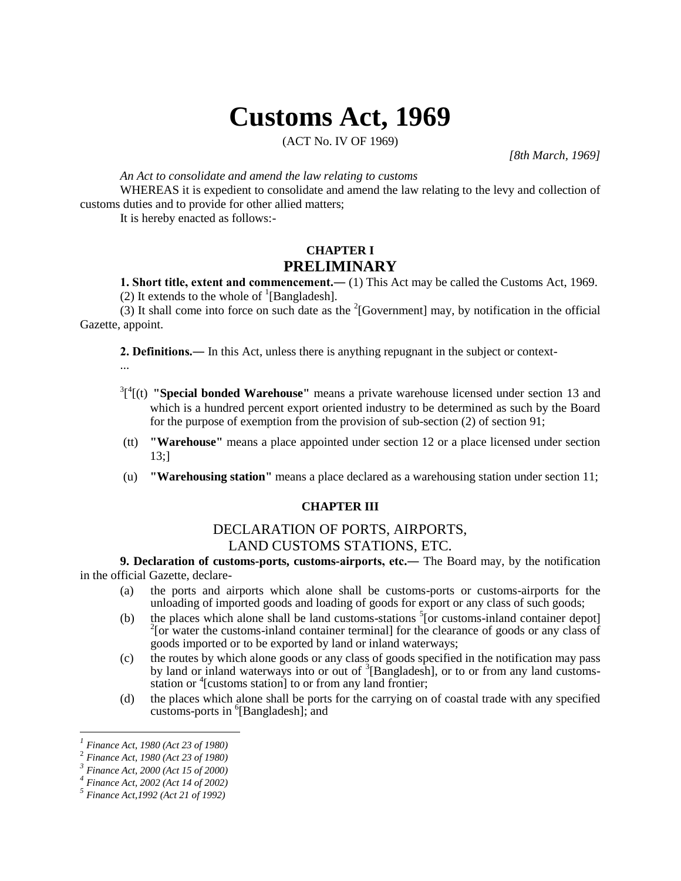# **Customs Act, 1969**

(ACT No. IV OF 1969)

*[8th March, 1969]*

*An Act to consolidate and amend the law relating to customs*

WHEREAS it is expedient to consolidate and amend the law relating to the levy and collection of customs duties and to provide for other allied matters;

It is hereby enacted as follows:-

# **CHAPTER I PRELIMINARY**

**1. Short title, extent and commencement.―** (1) This Act may be called the Customs Act, 1969. (2) It extends to the whole of  ${}^{1}$ [Bangladesh].

(3) It shall come into force on such date as the  $2$ [Government] may, by notification in the official Gazette, appoint.

**2. Definitions.―** In this Act, unless there is anything repugnant in the subject or context-

...

- $3^{3}$ <sup>1</sup> $($ (t) **"Special bonded Warehouse"** means a private warehouse licensed under section 13 and which is a hundred percent export oriented industry to be determined as such by the Board for the purpose of exemption from the provision of sub-section (2) of section 91;
- (tt) **"Warehouse"** means a place appointed under section 12 or a place licensed under section 13;]
- (u) **"Warehousing station"** means a place declared as a warehousing station under section 11;

#### **CHAPTER III**

## DECLARATION OF PORTS, AIRPORTS, LAND CUSTOMS STATIONS, ETC.

**9. Declaration of customs-ports, customs-airports, etc.―** The Board may, by the notification in the official Gazette, declare-

- (a) the ports and airports which alone shall be customs-ports or customs-airports for the unloading of imported goods and loading of goods for export or any class of such goods;
- (b) the places which alone shall be land customs-stations  $<sup>5</sup>$  [or customs-inland container depot]</sup>  $2$ [or water the customs-inland container terminal] for the clearance of goods or any class of goods imported or to be exported by land or inland waterways;
- (c) the routes by which alone goods or any class of goods specified in the notification may pass by land or inland waterways into or out of <sup>3</sup>[Bangladesh], or to or from any land customsstation or <sup>4</sup>[customs station] to or from any land frontier;
- (d) the places which alone shall be ports for the carrying on of coastal trade with any specified customs-ports in  ${}^{6}$ [Bangladesh]; and

*<sup>1</sup> Finance Act, 1980 (Act 23 of 1980)*

<sup>2</sup> *Finance Act, 1980 (Act 23 of 1980)*

*<sup>3</sup> Finance Act, 2000 (Act 15 of 2000)*

*<sup>4</sup> Finance Act, 2002 (Act 14 of 2002)*

*<sup>5</sup> Finance Act,1992 (Act 21 of 1992)*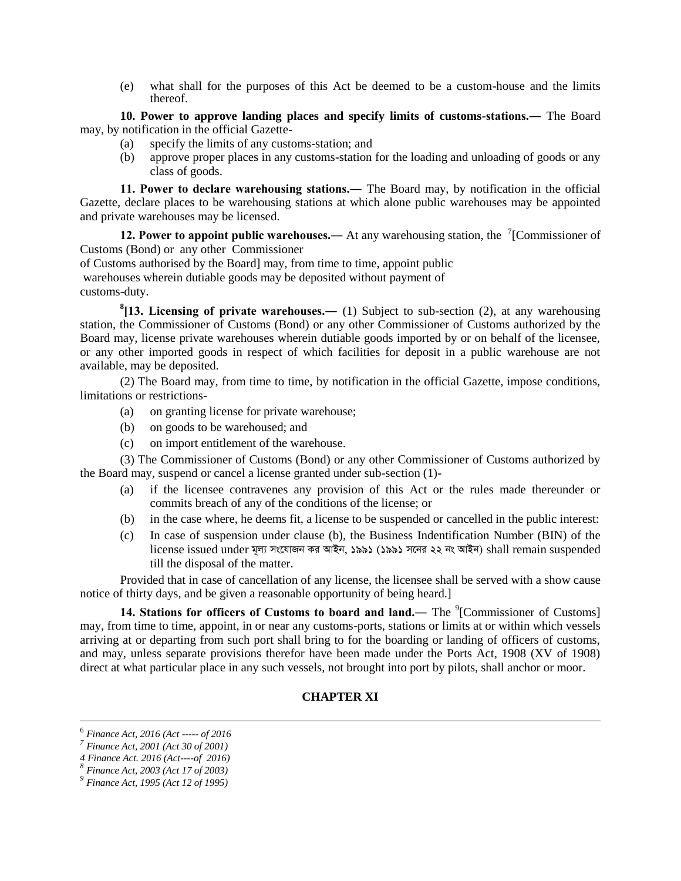(e) what shall for the purposes of this Act be deemed to be a custom-house and the limits thereof.

**10. Power to approve landing places and specify limits of customs-stations.―** The Board may, by notification in the official Gazette-

- (a) specify the limits of any customs-station; and
- (b) approve proper places in any customs-station for the loading and unloading of goods or any class of goods.

**11. Power to declare warehousing stations.―** The Board may, by notification in the official Gazette, declare places to be warehousing stations at which alone public warehouses may be appointed and private warehouses may be licensed.

**12. Power to appoint public warehouses.** At any warehousing station, the <sup>7</sup>[Commissioner of Customs (Bond) or any other Commissioner

of Customs authorised by the Board] may, from time to time, appoint public

warehouses wherein dutiable goods may be deposited without payment of customs-duty.

**8 [13. Licensing of private warehouses.―** (1) Subject to sub-section (2), at any warehousing station, the Commissioner of Customs (Bond) or any other Commissioner of Customs authorized by the Board may, license private warehouses wherein dutiable goods imported by or on behalf of the licensee, or any other imported goods in respect of which facilities for deposit in a public warehouse are not available, may be deposited.

(2) The Board may, from time to time, by notification in the official Gazette, impose conditions, limitations or restrictions-

- (a) on granting license for private warehouse;
- (b) on goods to be warehoused; and
- (c) on import entitlement of the warehouse.

(3) The Commissioner of Customs (Bond) or any other Commissioner of Customs authorized by the Board may, suspend or cancel a license granted under sub-section (1)-

- (a) if the licensee contravenes any provision of this Act or the rules made thereunder or commits breach of any of the conditions of the license; or
- (b) in the case where, he deems fit, a license to be suspended or cancelled in the public interest:
- (c) In case of suspension under clause (b), the Business Indentification Number (BIN) of the license issued under মূল্য সংযোজন কর আইন, ১৯৯১ (১৯৯১ সনের ২২ নং আইন) shall remain suspended till the disposal of the matter.

Provided that in case of cancellation of any license, the licensee shall be served with a show cause notice of thirty days, and be given a reasonable opportunity of being heard.]

**14. Stations for officers of Customs to board and land.—** The <sup>9</sup>[Commissioner of Customs] may, from time to time, appoint, in or near any customs-ports, stations or limits at or within which vessels arriving at or departing from such port shall bring to for the boarding or landing of officers of customs, and may, unless separate provisions therefor have been made under the Ports Act, 1908 (XV of 1908) direct at what particular place in any such vessels, not brought into port by pilots, shall anchor or moor.

### **CHAPTER XI**

<sup>6</sup> *Finance Act, 2016 (Act ----- of 2016*

*<sup>7</sup> Finance Act, 2001 (Act 30 of 2001)*

*<sup>4</sup> Finance Act. 2016 (Act----of 2016) 8*

*Finance Act, 2003 (Act 17 of 2003)*

*<sup>9</sup> Finance Act, 1995 (Act 12 of 1995)*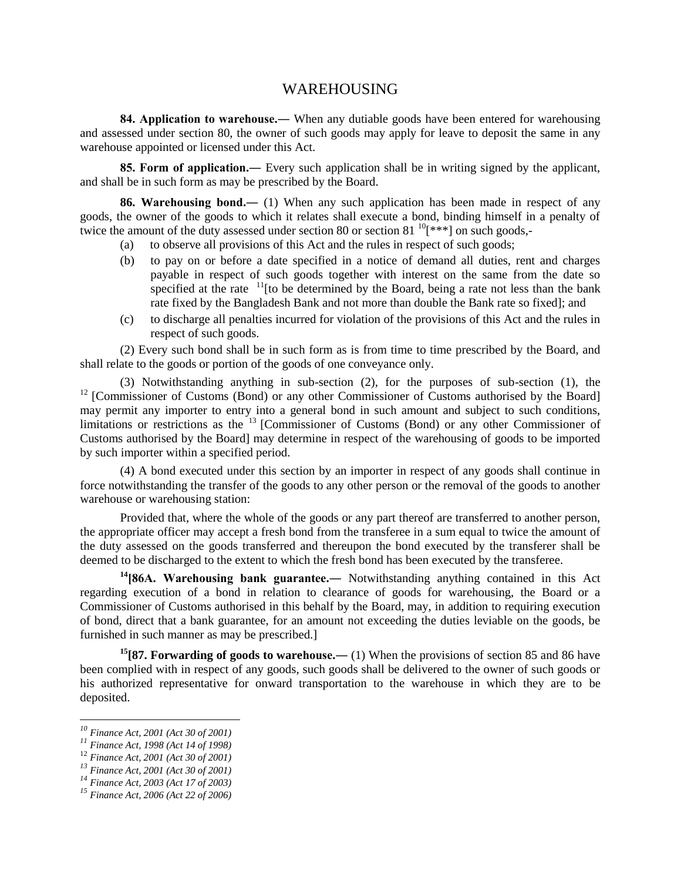### WAREHOUSING

**84. Application to warehouse.―** When any dutiable goods have been entered for warehousing and assessed under section 80, the owner of such goods may apply for leave to deposit the same in any warehouse appointed or licensed under this Act.

**85. Form of application.―** Every such application shall be in writing signed by the applicant, and shall be in such form as may be prescribed by the Board.

**86. Warehousing bond.―** (1) When any such application has been made in respect of any goods, the owner of the goods to which it relates shall execute a bond, binding himself in a penalty of twice the amount of the duty assessed under section 80 or section 81<sup>10</sup>[\*\*\*] on such goods,-

- (a) to observe all provisions of this Act and the rules in respect of such goods;
- (b) to pay on or before a date specified in a notice of demand all duties, rent and charges payable in respect of such goods together with interest on the same from the date so specified at the rate  $11$ <sup>t</sup> to be determined by the Board, being a rate not less than the bank rate fixed by the Bangladesh Bank and not more than double the Bank rate so fixed]; and
- (c) to discharge all penalties incurred for violation of the provisions of this Act and the rules in respect of such goods.

(2) Every such bond shall be in such form as is from time to time prescribed by the Board, and shall relate to the goods or portion of the goods of one conveyance only.

(3) Notwithstanding anything in sub-section (2), for the purposes of sub-section (1), the <sup>12</sup> [Commissioner of Customs (Bond) or any other Commissioner of Customs authorised by the Board] may permit any importer to entry into a general bond in such amount and subject to such conditions, limitations or restrictions as the <sup>13</sup> [Commissioner of Customs (Bond) or any other Commissioner of Customs authorised by the Board] may determine in respect of the warehousing of goods to be imported by such importer within a specified period.

(4) A bond executed under this section by an importer in respect of any goods shall continue in force notwithstanding the transfer of the goods to any other person or the removal of the goods to another warehouse or warehousing station:

Provided that, where the whole of the goods or any part thereof are transferred to another person, the appropriate officer may accept a fresh bond from the transferee in a sum equal to twice the amount of the duty assessed on the goods transferred and thereupon the bond executed by the transferer shall be deemed to be discharged to the extent to which the fresh bond has been executed by the transferee.

**<sup>14</sup>[86A. Warehousing bank guarantee.―** Notwithstanding anything contained in this Act regarding execution of a bond in relation to clearance of goods for warehousing, the Board or a Commissioner of Customs authorised in this behalf by the Board, may, in addition to requiring execution of bond, direct that a bank guarantee, for an amount not exceeding the duties leviable on the goods, be furnished in such manner as may be prescribed.]

**<sup>15</sup>[87. Forwarding of goods to warehouse.―** (1) When the provisions of section 85 and 86 have been complied with in respect of any goods, such goods shall be delivered to the owner of such goods or his authorized representative for onward transportation to the warehouse in which they are to be deposited.

*<sup>10</sup> Finance Act, 2001 (Act 30 of 2001)*

*<sup>11</sup> Finance Act, 1998 (Act 14 of 1998)*

<sup>12</sup> *Finance Act, 2001 (Act 30 of 2001)*

*<sup>13</sup> Finance Act, 2001 (Act 30 of 2001)*

*<sup>14</sup> Finance Act, 2003 (Act 17 of 2003)*

*<sup>15</sup> Finance Act, 2006 (Act 22 of 2006)*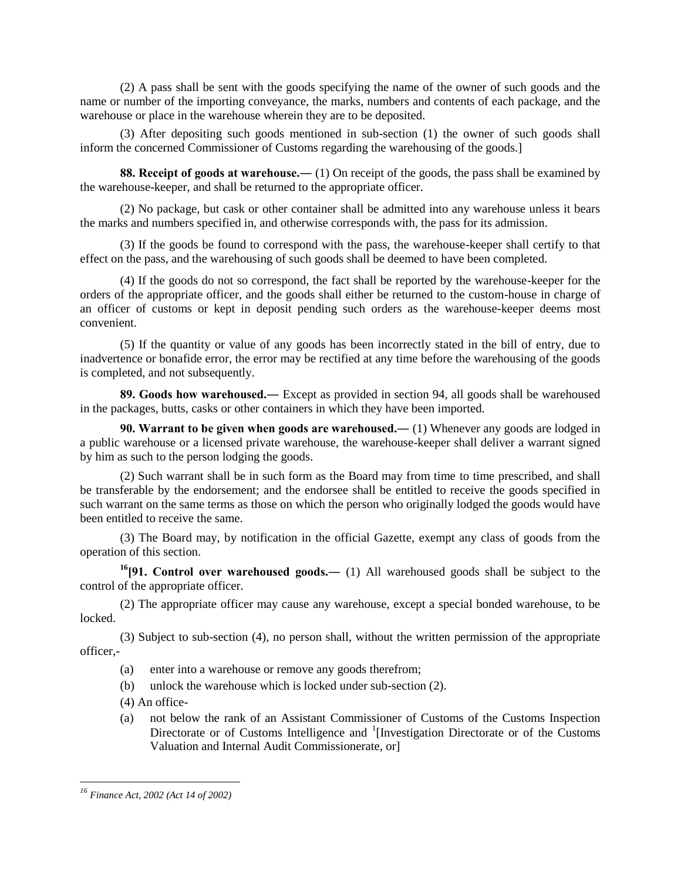(2) A pass shall be sent with the goods specifying the name of the owner of such goods and the name or number of the importing conveyance, the marks, numbers and contents of each package, and the warehouse or place in the warehouse wherein they are to be deposited.

(3) After depositing such goods mentioned in sub-section (1) the owner of such goods shall inform the concerned Commissioner of Customs regarding the warehousing of the goods.]

**88. Receipt of goods at warehouse.―** (1) On receipt of the goods, the pass shall be examined by the warehouse-keeper, and shall be returned to the appropriate officer.

(2) No package, but cask or other container shall be admitted into any warehouse unless it bears the marks and numbers specified in, and otherwise corresponds with, the pass for its admission.

(3) If the goods be found to correspond with the pass, the warehouse-keeper shall certify to that effect on the pass, and the warehousing of such goods shall be deemed to have been completed.

(4) If the goods do not so correspond, the fact shall be reported by the warehouse-keeper for the orders of the appropriate officer, and the goods shall either be returned to the custom-house in charge of an officer of customs or kept in deposit pending such orders as the warehouse-keeper deems most convenient.

(5) If the quantity or value of any goods has been incorrectly stated in the bill of entry, due to inadvertence or bonafide error, the error may be rectified at any time before the warehousing of the goods is completed, and not subsequently.

**89. Goods how warehoused.―** Except as provided in section 94, all goods shall be warehoused in the packages, butts, casks or other containers in which they have been imported.

**90. Warrant to be given when goods are warehoused.―** (1) Whenever any goods are lodged in a public warehouse or a licensed private warehouse, the warehouse-keeper shall deliver a warrant signed by him as such to the person lodging the goods.

(2) Such warrant shall be in such form as the Board may from time to time prescribed, and shall be transferable by the endorsement; and the endorsee shall be entitled to receive the goods specified in such warrant on the same terms as those on which the person who originally lodged the goods would have been entitled to receive the same.

(3) The Board may, by notification in the official Gazette, exempt any class of goods from the operation of this section.

**<sup>16</sup>[91. Control over warehoused goods.―** (1) All warehoused goods shall be subject to the control of the appropriate officer.

(2) The appropriate officer may cause any warehouse, except a special bonded warehouse, to be locked.

(3) Subject to sub-section (4), no person shall, without the written permission of the appropriate officer,-

- (a) enter into a warehouse or remove any goods therefrom;
- (b) unlock the warehouse which is locked under sub-section (2).
- (4) An office-
- (a) not below the rank of an Assistant Commissioner of Customs of the Customs Inspection Directorate or of Customs Intelligence and <sup>1</sup>[Investigation Directorate or of the Customs Valuation and Internal Audit Commissionerate, or]

*<sup>16</sup> Finance Act, 2002 (Act 14 of 2002)*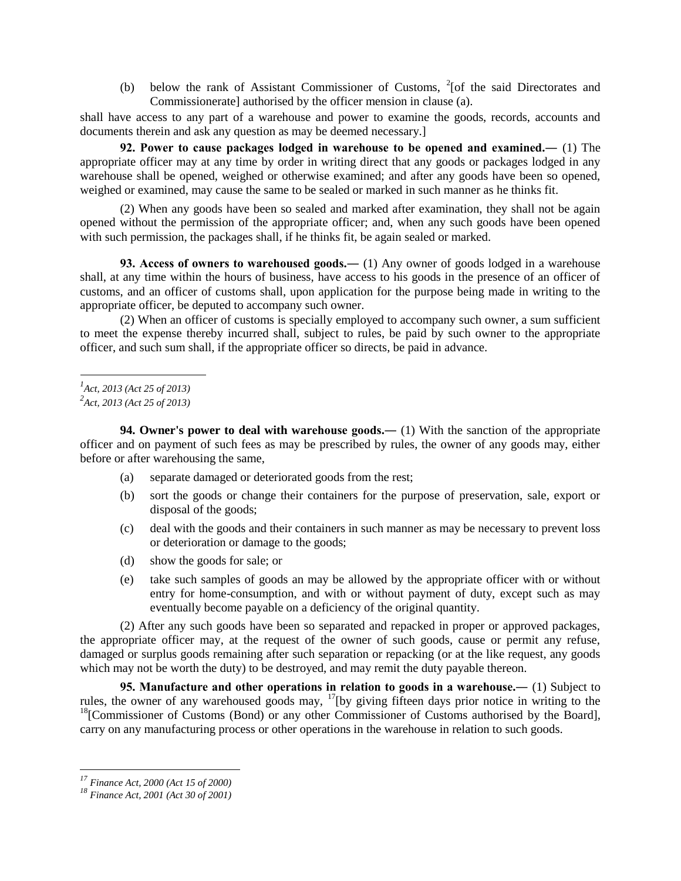(b) below the rank of Assistant Commissioner of Customs,  $2$ [of the said Directorates and Commissionerate] authorised by the officer mension in clause (a).

shall have access to any part of a warehouse and power to examine the goods, records, accounts and documents therein and ask any question as may be deemed necessary.]

**92. Power to cause packages lodged in warehouse to be opened and examined.―** (1) The appropriate officer may at any time by order in writing direct that any goods or packages lodged in any warehouse shall be opened, weighed or otherwise examined; and after any goods have been so opened, weighed or examined, may cause the same to be sealed or marked in such manner as he thinks fit.

(2) When any goods have been so sealed and marked after examination, they shall not be again opened without the permission of the appropriate officer; and, when any such goods have been opened with such permission, the packages shall, if he thinks fit, be again sealed or marked.

**93. Access of owners to warehoused goods.―** (1) Any owner of goods lodged in a warehouse shall, at any time within the hours of business, have access to his goods in the presence of an officer of customs, and an officer of customs shall, upon application for the purpose being made in writing to the appropriate officer, be deputed to accompany such owner.

(2) When an officer of customs is specially employed to accompany such owner, a sum sufficient to meet the expense thereby incurred shall, subject to rules, be paid by such owner to the appropriate officer, and such sum shall, if the appropriate officer so directs, be paid in advance.

**94. Owner's power to deal with warehouse goods.—** (1) With the sanction of the appropriate officer and on payment of such fees as may be prescribed by rules, the owner of any goods may, either before or after warehousing the same,

- (a) separate damaged or deteriorated goods from the rest;
- (b) sort the goods or change their containers for the purpose of preservation, sale, export or disposal of the goods;
- (c) deal with the goods and their containers in such manner as may be necessary to prevent loss or deterioration or damage to the goods;
- (d) show the goods for sale; or
- (e) take such samples of goods an may be allowed by the appropriate officer with or without entry for home-consumption, and with or without payment of duty, except such as may eventually become payable on a deficiency of the original quantity.

(2) After any such goods have been so separated and repacked in proper or approved packages, the appropriate officer may, at the request of the owner of such goods, cause or permit any refuse, damaged or surplus goods remaining after such separation or repacking (or at the like request, any goods which may not be worth the duty) to be destroyed, and may remit the duty payable thereon.

**95. Manufacture and other operations in relation to goods in a warehouse.―** (1) Subject to rules, the owner of any warehoused goods may, <sup>17</sup>[by giving fifteen days prior notice in writing to the  $18$ <sup>[28]</sup>[Commissioner of Customs (Bond) or any other Commissioner of Customs authorised by the Board], carry on any manufacturing process or other operations in the warehouse in relation to such goods.

*<sup>1</sup> Act, 2013 (Act 25 of 2013)*

*<sup>2</sup> Act, 2013 (Act 25 of 2013)*

*<sup>17</sup> Finance Act, 2000 (Act 15 of 2000)*

*<sup>18</sup> Finance Act, 2001 (Act 30 of 2001)*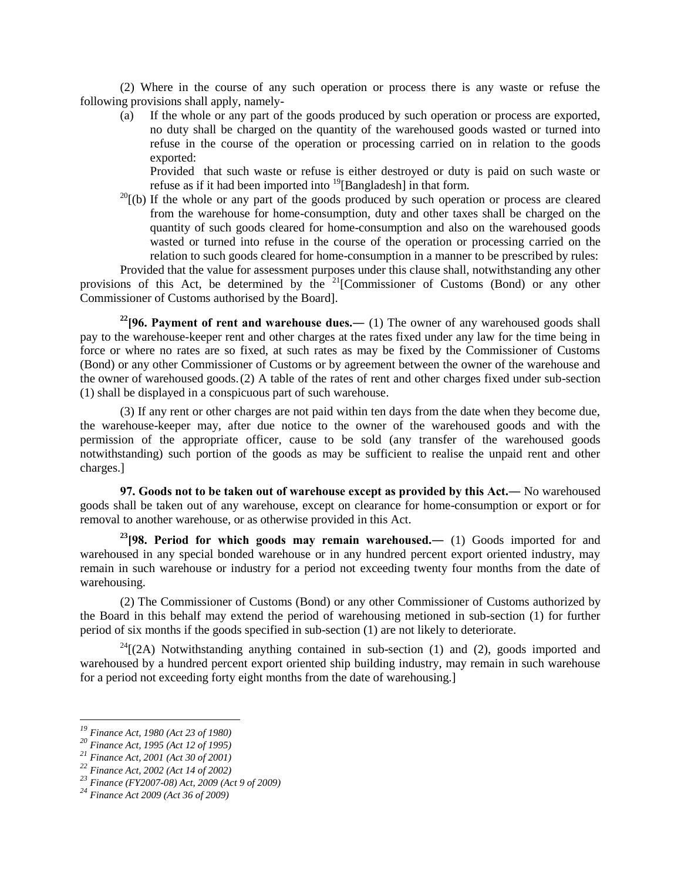(2) Where in the course of any such operation or process there is any waste or refuse the following provisions shall apply, namely-

(a) If the whole or any part of the goods produced by such operation or process are exported, no duty shall be charged on the quantity of the warehoused goods wasted or turned into refuse in the course of the operation or processing carried on in relation to the goods exported:

Provided that such waste or refuse is either destroyed or duty is paid on such waste or refuse as if it had been imported into  $^{19}$ [Bangladesh] in that form.

 $^{20}$ [(b) If the whole or any part of the goods produced by such operation or process are cleared from the warehouse for home-consumption, duty and other taxes shall be charged on the quantity of such goods cleared for home-consumption and also on the warehoused goods wasted or turned into refuse in the course of the operation or processing carried on the relation to such goods cleared for home-consumption in a manner to be prescribed by rules:

Provided that the value for assessment purposes under this clause shall, notwithstanding any other provisions of this Act, be determined by the  $21$ [Commissioner of Customs (Bond) or any other Commissioner of Customs authorised by the Board].

**<sup>22</sup>[96. Payment of rent and warehouse dues.―** (1) The owner of any warehoused goods shall pay to the warehouse-keeper rent and other charges at the rates fixed under any law for the time being in force or where no rates are so fixed, at such rates as may be fixed by the Commissioner of Customs (Bond) or any other Commissioner of Customs or by agreement between the owner of the warehouse and the owner of warehoused goods.(2) A table of the rates of rent and other charges fixed under sub-section (1) shall be displayed in a conspicuous part of such warehouse.

(3) If any rent or other charges are not paid within ten days from the date when they become due, the warehouse-keeper may, after due notice to the owner of the warehoused goods and with the permission of the appropriate officer, cause to be sold (any transfer of the warehoused goods notwithstanding) such portion of the goods as may be sufficient to realise the unpaid rent and other charges.]

**97. Goods not to be taken out of warehouse except as provided by this Act.―** No warehoused goods shall be taken out of any warehouse, except on clearance for home-consumption or export or for removal to another warehouse, or as otherwise provided in this Act.

**<sup>23</sup>[98. Period for which goods may remain warehoused.―** (1) Goods imported for and warehoused in any special bonded warehouse or in any hundred percent export oriented industry, may remain in such warehouse or industry for a period not exceeding twenty four months from the date of warehousing.

(2) The Commissioner of Customs (Bond) or any other Commissioner of Customs authorized by the Board in this behalf may extend the period of warehousing metioned in sub-section (1) for further period of six months if the goods specified in sub-section (1) are not likely to deteriorate.

 $^{24}$ [(2A) Notwithstanding anything contained in sub-section (1) and (2), goods imported and warehoused by a hundred percent export oriented ship building industry, may remain in such warehouse for a period not exceeding forty eight months from the date of warehousing.]

*<sup>19</sup> Finance Act, 1980 (Act 23 of 1980)*

*<sup>20</sup> Finance Act, 1995 (Act 12 of 1995)*

*<sup>21</sup> Finance Act, 2001 (Act 30 of 2001)*

*<sup>22</sup> Finance Act, 2002 (Act 14 of 2002)*

*<sup>23</sup> Finance (FY2007-08) Act, 2009 (Act 9 of 2009)*

*<sup>24</sup> Finance Act 2009 (Act 36 of 2009)*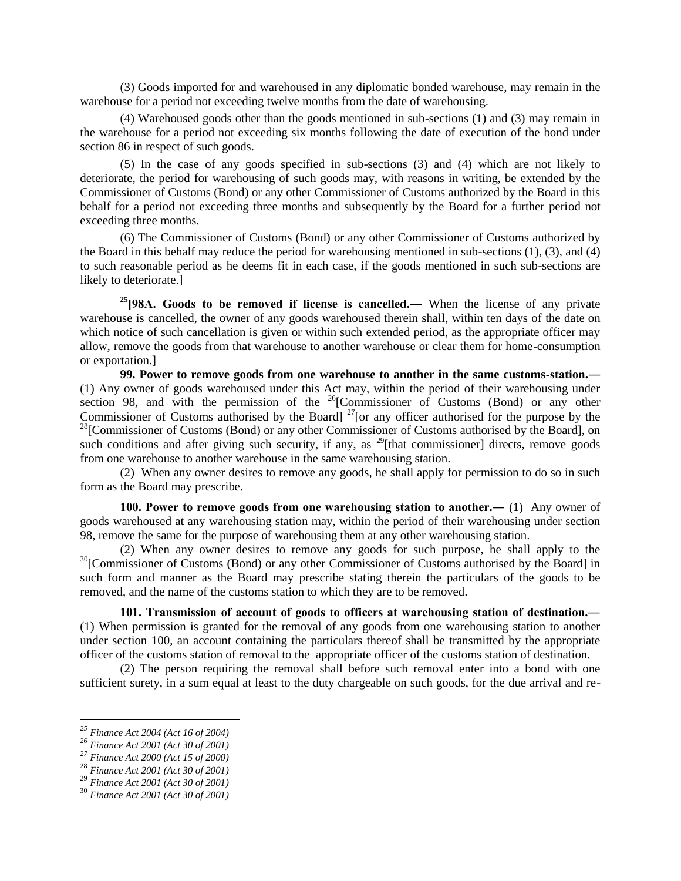(3) Goods imported for and warehoused in any diplomatic bonded warehouse, may remain in the warehouse for a period not exceeding twelve months from the date of warehousing.

(4) Warehoused goods other than the goods mentioned in sub-sections (1) and (3) may remain in the warehouse for a period not exceeding six months following the date of execution of the bond under section 86 in respect of such goods.

(5) In the case of any goods specified in sub-sections (3) and (4) which are not likely to deteriorate, the period for warehousing of such goods may, with reasons in writing, be extended by the Commissioner of Customs (Bond) or any other Commissioner of Customs authorized by the Board in this behalf for a period not exceeding three months and subsequently by the Board for a further period not exceeding three months.

(6) The Commissioner of Customs (Bond) or any other Commissioner of Customs authorized by the Board in this behalf may reduce the period for warehousing mentioned in sub-sections (1), (3), and (4) to such reasonable period as he deems fit in each case, if the goods mentioned in such sub-sections are likely to deteriorate.]

**<sup>25</sup>[98A. Goods to be removed if license is cancelled.―** When the license of any private warehouse is cancelled, the owner of any goods warehoused therein shall, within ten days of the date on which notice of such cancellation is given or within such extended period, as the appropriate officer may allow, remove the goods from that warehouse to another warehouse or clear them for home-consumption or exportation.]

**99. Power to remove goods from one warehouse to another in the same customs-station.―** (1) Any owner of goods warehoused under this Act may, within the period of their warehousing under section 98, and with the permission of the  $26$ [Commissioner of Customs (Bond) or any other Commissioner of Customs authorised by the Board]  $27$  [or any officer authorised for the purpose by the  $^{28}$ [Commissioner of Customs (Bond) or any other Commissioner of Customs authorised by the Board], on such conditions and after giving such security, if any, as  $^{29}$ [that commissioner] directs, remove goods from one warehouse to another warehouse in the same warehousing station.

(2) When any owner desires to remove any goods, he shall apply for permission to do so in such form as the Board may prescribe.

**100. Power to remove goods from one warehousing station to another.―** (1) Any owner of goods warehoused at any warehousing station may, within the period of their warehousing under section 98, remove the same for the purpose of warehousing them at any other warehousing station.

(2) When any owner desires to remove any goods for such purpose, he shall apply to the <sup>30</sup>[Commissioner of Customs (Bond) or any other Commissioner of Customs authorised by the Board] in such form and manner as the Board may prescribe stating therein the particulars of the goods to be removed, and the name of the customs station to which they are to be removed.

**101. Transmission of account of goods to officers at warehousing station of destination.―** (1) When permission is granted for the removal of any goods from one warehousing station to another under section 100, an account containing the particulars thereof shall be transmitted by the appropriate officer of the customs station of removal to the appropriate officer of the customs station of destination.

(2) The person requiring the removal shall before such removal enter into a bond with one sufficient surety, in a sum equal at least to the duty chargeable on such goods, for the due arrival and re-

*<sup>25</sup> Finance Act 2004 (Act 16 of 2004)*

*<sup>26</sup> Finance Act 2001 (Act 30 of 2001)*

*<sup>27</sup> Finance Act 2000 (Act 15 of 2000)*

<sup>28</sup> *Finance Act 2001 (Act 30 of 2001)*

<sup>29</sup> *Finance Act 2001 (Act 30 of 2001)*

<sup>30</sup> *Finance Act 2001 (Act 30 of 2001)*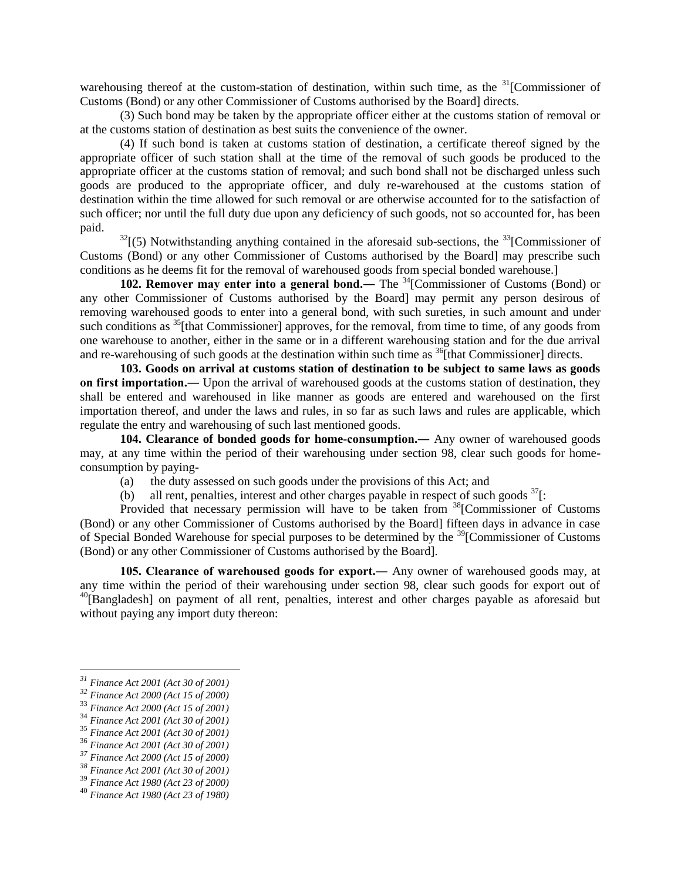warehousing thereof at the custom-station of destination, within such time, as the  $31$ [Commissioner of Customs (Bond) or any other Commissioner of Customs authorised by the Board] directs.

(3) Such bond may be taken by the appropriate officer either at the customs station of removal or at the customs station of destination as best suits the convenience of the owner.

(4) If such bond is taken at customs station of destination, a certificate thereof signed by the appropriate officer of such station shall at the time of the removal of such goods be produced to the appropriate officer at the customs station of removal; and such bond shall not be discharged unless such goods are produced to the appropriate officer, and duly re-warehoused at the customs station of destination within the time allowed for such removal or are otherwise accounted for to the satisfaction of such officer; nor until the full duty due upon any deficiency of such goods, not so accounted for, has been paid.

 $32$ [(5) Notwithstanding anything contained in the aforesaid sub-sections, the  $33$ [Commissioner of Customs (Bond) or any other Commissioner of Customs authorised by the Board] may prescribe such conditions as he deems fit for the removal of warehoused goods from special bonded warehouse.]

**102. Remover may enter into a general bond.—** The <sup>34</sup>[Commissioner of Customs (Bond) or any other Commissioner of Customs authorised by the Board] may permit any person desirous of removing warehoused goods to enter into a general bond, with such sureties, in such amount and under such conditions as <sup>35</sup>[that Commissioner] approves, for the removal, from time to time, of any goods from one warehouse to another, either in the same or in a different warehousing station and for the due arrival and re-warehousing of such goods at the destination within such time as  $^{36}$ [that Commissioner] directs.

**103. Goods on arrival at customs station of destination to be subject to same laws as goods on first importation.―** Upon the arrival of warehoused goods at the customs station of destination, they shall be entered and warehoused in like manner as goods are entered and warehoused on the first importation thereof, and under the laws and rules, in so far as such laws and rules are applicable, which regulate the entry and warehousing of such last mentioned goods.

**104. Clearance of bonded goods for home-consumption.―** Any owner of warehoused goods may, at any time within the period of their warehousing under section 98, clear such goods for homeconsumption by paying-

- (a) the duty assessed on such goods under the provisions of this Act; and
- (b) all rent, penalties, interest and other charges payable in respect of such goods  $\frac{37}{1}$ :

Provided that necessary permission will have to be taken from  $38$ [Commissioner of Customs] (Bond) or any other Commissioner of Customs authorised by the Board] fifteen days in advance in case of Special Bonded Warehouse for special purposes to be determined by the <sup>39</sup>[Commissioner of Customs (Bond) or any other Commissioner of Customs authorised by the Board].

**105. Clearance of warehoused goods for export.―** Any owner of warehoused goods may, at any time within the period of their warehousing under section 98, clear such goods for export out of <sup>40</sup>[Bangladesh] on payment of all rent, penalties, interest and other charges payable as aforesaid but without paying any import duty thereon:

*<sup>31</sup> Finance Act 2001 (Act 30 of 2001)*

*<sup>32</sup> Finance Act 2000 (Act 15 of 2000)*

<sup>33</sup> *Finance Act 2000 (Act 15 of 2001)*

<sup>34</sup> *Finance Act 2001 (Act 30 of 2001)*

<sup>35</sup> *Finance Act 2001 (Act 30 of 2001)*

<sup>36</sup> *Finance Act 2001 (Act 30 of 2001)*

*<sup>37</sup> Finance Act 2000 (Act 15 of 2000)*

*<sup>38</sup> Finance Act 2001 (Act 30 of 2001)*

<sup>39</sup> *Finance Act 1980 (Act 23 of 2000)*

<sup>40</sup> *Finance Act 1980 (Act 23 of 1980)*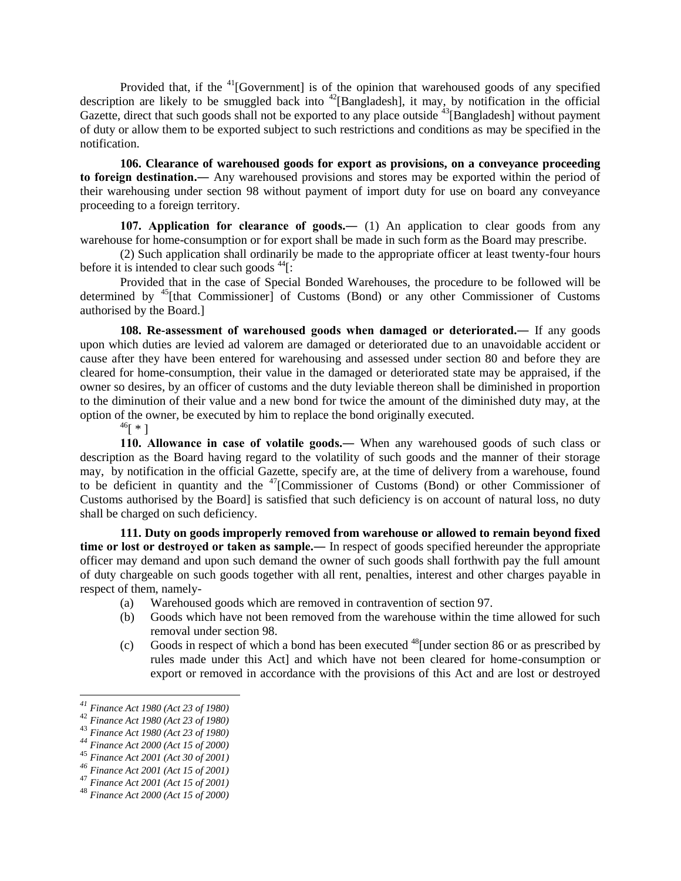Provided that, if the  $41$ [Government] is of the opinion that warehoused goods of any specified description are likely to be smuggled back into <sup>42</sup>[Bangladesh], it may, by notification in the official Gazette, direct that such goods shall not be exported to any place outside  $^{43}$ [Bangladesh] without payment of duty or allow them to be exported subject to such restrictions and conditions as may be specified in the notification.

**106. Clearance of warehoused goods for export as provisions, on a conveyance proceeding to foreign destination.―** Any warehoused provisions and stores may be exported within the period of their warehousing under section 98 without payment of import duty for use on board any conveyance proceeding to a foreign territory.

**107. Application for clearance of goods.―** (1) An application to clear goods from any warehouse for home-consumption or for export shall be made in such form as the Board may prescribe.

(2) Such application shall ordinarily be made to the appropriate officer at least twenty-four hours before it is intended to clear such goods  $44$ [:

Provided that in the case of Special Bonded Warehouses, the procedure to be followed will be determined by <sup>45</sup>[that Commissioner] of Customs (Bond) or any other Commissioner of Customs authorised by the Board.]

**108. Re-assessment of warehoused goods when damaged or deteriorated.―** If any goods upon which duties are levied ad valorem are damaged or deteriorated due to an unavoidable accident or cause after they have been entered for warehousing and assessed under section 80 and before they are cleared for home-consumption, their value in the damaged or deteriorated state may be appraised, if the owner so desires, by an officer of customs and the duty leviable thereon shall be diminished in proportion to the diminution of their value and a new bond for twice the amount of the diminished duty may, at the option of the owner, be executed by him to replace the bond originally executed.

 $^{46}$ [  $*$  ]

**110. Allowance in case of volatile goods.―** When any warehoused goods of such class or description as the Board having regard to the volatility of such goods and the manner of their storage may, by notification in the official Gazette, specify are, at the time of delivery from a warehouse, found to be deficient in quantity and the <sup>47</sup>[Commissioner of Customs (Bond) or other Commissioner of Customs authorised by the Board] is satisfied that such deficiency is on account of natural loss, no duty shall be charged on such deficiency.

**111. Duty on goods improperly removed from warehouse or allowed to remain beyond fixed time or lost or destroyed or taken as sample.―** In respect of goods specified hereunder the appropriate officer may demand and upon such demand the owner of such goods shall forthwith pay the full amount of duty chargeable on such goods together with all rent, penalties, interest and other charges payable in respect of them, namely-

- (a) Warehoused goods which are removed in contravention of section 97.
- (b) Goods which have not been removed from the warehouse within the time allowed for such removal under section 98.
- (c) Goods in respect of which a bond has been executed  $^{48}$ [under section 86 or as prescribed by rules made under this Act] and which have not been cleared for home-consumption or export or removed in accordance with the provisions of this Act and are lost or destroyed

*<sup>41</sup> Finance Act 1980 (Act 23 of 1980)*

<sup>42</sup> *Finance Act 1980 (Act 23 of 1980)*

<sup>43</sup> *Finance Act 1980 (Act 23 of 1980)*

*<sup>44</sup> Finance Act 2000 (Act 15 of 2000)*

<sup>45</sup> *Finance Act 2001 (Act 30 of 2001)*

*<sup>46</sup> Finance Act 2001 (Act 15 of 2001)*

<sup>47</sup> *Finance Act 2001 (Act 15 of 2001)*

<sup>48</sup> *Finance Act 2000 (Act 15 of 2000)*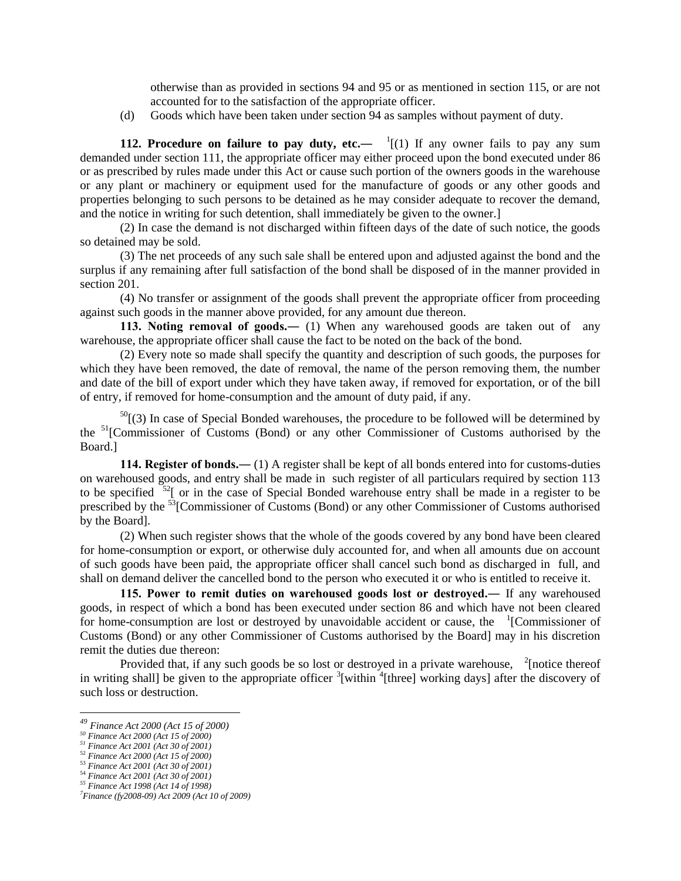otherwise than as provided in sections 94 and 95 or as mentioned in section 115, or are not accounted for to the satisfaction of the appropriate officer.

(d) Goods which have been taken under section 94 as samples without payment of duty.

**112. Procedure on failure to pay duty, etc.—**  $\frac{1}{1}(1)$  If any owner fails to pay any sum demanded under section 111, the appropriate officer may either proceed upon the bond executed under 86 or as prescribed by rules made under this Act or cause such portion of the owners goods in the warehouse or any plant or machinery or equipment used for the manufacture of goods or any other goods and properties belonging to such persons to be detained as he may consider adequate to recover the demand, and the notice in writing for such detention, shall immediately be given to the owner.]

(2) In case the demand is not discharged within fifteen days of the date of such notice, the goods so detained may be sold.

(3) The net proceeds of any such sale shall be entered upon and adjusted against the bond and the surplus if any remaining after full satisfaction of the bond shall be disposed of in the manner provided in section 201.

(4) No transfer or assignment of the goods shall prevent the appropriate officer from proceeding against such goods in the manner above provided, for any amount due thereon.

**113. Noting removal of goods.―** (1) When any warehoused goods are taken out of any warehouse, the appropriate officer shall cause the fact to be noted on the back of the bond.

(2) Every note so made shall specify the quantity and description of such goods, the purposes for which they have been removed, the date of removal, the name of the person removing them, the number and date of the bill of export under which they have taken away, if removed for exportation, or of the bill of entry, if removed for home-consumption and the amount of duty paid, if any.

 $50$ [(3) In case of Special Bonded warehouses, the procedure to be followed will be determined by the <sup>51</sup>[Commissioner of Customs (Bond) or any other Commissioner of Customs authorised by the Board.]

**114. Register of bonds.―** (1) A register shall be kept of all bonds entered into for customs-duties on warehoused goods, and entry shall be made in such register of all particulars required by section 113 to be specified  $52$ [ or in the case of Special Bonded warehouse entry shall be made in a register to be prescribed by the <sup>53</sup>[Commissioner of Customs (Bond) or any other Commissioner of Customs authorised by the Board].

(2) When such register shows that the whole of the goods covered by any bond have been cleared for home-consumption or export, or otherwise duly accounted for, and when all amounts due on account of such goods have been paid, the appropriate officer shall cancel such bond as discharged in full, and shall on demand deliver the cancelled bond to the person who executed it or who is entitled to receive it.

**115. Power to remit duties on warehoused goods lost or destroyed.―** If any warehoused goods, in respect of which a bond has been executed under section 86 and which have not been cleared for home-consumption are lost or destroyed by unavoidable accident or cause, the  $\frac{1}{2}$ [Commissioner of Customs (Bond) or any other Commissioner of Customs authorised by the Board] may in his discretion remit the duties due thereon:

Provided that, if any such goods be so lost or destroyed in a private warehouse,  $\frac{2}{3}$  [notice thereof in writing shall] be given to the appropriate officer <sup>3</sup>[within <sup>4</sup>[three] working days] after the discovery of such loss or destruction.

*<sup>49</sup> Finance Act 2000 (Act 15 of 2000)*

*<sup>50</sup> Finance Act 2000 (Act 15 of 2000)*

*<sup>51</sup> Finance Act 2001 (Act 30 of 2001)*

<sup>52</sup> *Finance Act 2000 (Act 15 of 2000)*

<sup>53</sup> *Finance Act 2001 (Act 30 of 2001)* <sup>54</sup> *Finance Act 2001 (Act 30 of 2001)*

*<sup>55</sup> Finance Act 1998 (Act 14 of 1998)*

*<sup>7</sup>Finance (fy2008-09) Act 2009 (Act 10 of 2009)*